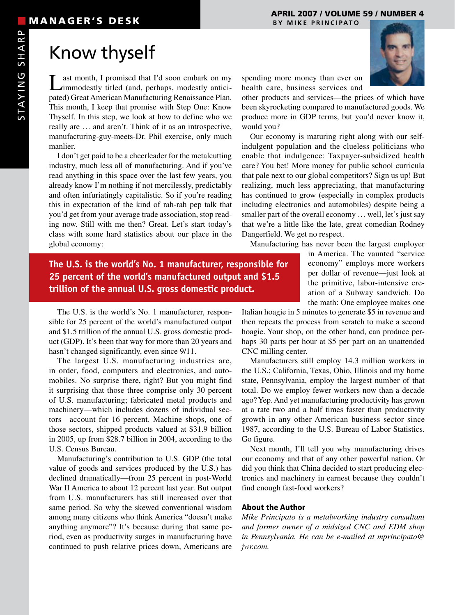# Know thyself

Last month, I promised that I'd soon embark on my immodestly titled (and, perhaps, modestly anticipated) Great American Manufacturing Renaissance Plan. This month, I keep that promise with Step One: Know Thyself. In this step, we look at how to define who we really are … and aren't. Think of it as an introspective, manufacturing-guy-meets-Dr. Phil exercise, only much manlier.

I don't get paid to be a cheerleader for the metalcutting industry, much less all of manufacturing. And if you've read anything in this space over the last few years, you already know I'm nothing if not mercilessly, predictably and often infuriatingly capitalistic. So if you're reading this in expectation of the kind of rah-rah pep talk that you'd get from your average trade association, stop reading now. Still with me then? Great. Let's start today's class with some hard statistics about our place in the global economy:

**The U.S. is the world's No. 1 manufacturer, responsible for 25 percent of the world's manufactured output and \$1.5 trillion of the annual U.S. gross domestic product.**

The U.S. is the world's No. 1 manufacturer, responsible for 25 percent of the world's manufactured output and \$1.5 trillion of the annual U.S. gross domestic product (GDP). It's been that way for more than 20 years and hasn't changed significantly, even since  $9/11$ .

The largest U.S. manufacturing industries are, in order, food, computers and electronics, and automobiles. No surprise there, right? But you might find it surprising that those three comprise only 30 percent of U.S. manufacturing; fabricated metal products and machinery—which includes dozens of individual sectors—account for 16 percent. Machine shops, one of those sectors, shipped products valued at \$31.9 billion in 2005, up from \$28.7 billion in 2004, according to the U.S. Census Bureau.

Manufacturing's contribution to U.S. GDP (the total value of goods and services produced by the U.S.) has declined dramatically—from 25 percent in post-World War II America to about 12 percent last year. But output from U.S. manufacturers has still increased over that same period. So why the skewed conventional wisdom among many citizens who think America "doesn't make anything anymore"? It's because during that same period, even as productivity surges in manufacturing have continued to push relative prices down, Americans are



spending more money than ever on health care, business services and

other products and services—the prices of which have been skyrocketing compared to manufactured goods. We produce more in GDP terms, but you'd never know it, would you?

Our economy is maturing right along with our selfindulgent population and the clueless politicians who enable that indulgence: Taxpayer-subsidized health care? You bet! More money for public school curricula that pale next to our global competitors? Sign us up! But realizing, much less appreciating, that manufacturing has continued to grow (especially in complex products including electronics and automobiles) despite being a smaller part of the overall economy ... well, let's just say that we're a little like the late, great comedian Rodney Dangerfield. We get no respect.

Manufacturing has never been the largest employer

in America. The vaunted "service economy" employs more workers per dollar of revenue—just look at the primitive, labor-intensive creation of a Subway sandwich. Do the math: One employee makes one

Italian hoagie in 5 minutes to generate \$5 in revenue and then repeats the process from scratch to make a second hoagie. Your shop, on the other hand, can produce perhaps 30 parts per hour at \$5 per part on an unattended CNC milling center.

Manufacturers still employ 14.3 million workers in the U.S.; California, Texas, Ohio, Illinois and my home state, Pennsylvania, employ the largest number of that total. Do we employ fewer workers now than a decade ago? Yep. And yet manufacturing productivity has grown at a rate two and a half times faster than productivity growth in any other American business sector since 1987, according to the U.S. Bureau of Labor Statistics. Go figure.

Next month, I'll tell you why manufacturing drives our economy and that of any other powerful nation. Or did you think that China decided to start producing electronics and machinery in earnest because they couldn't find enough fast-food workers?

### About the Author

*Mike Principato is a metalworking industry consultant and former owner of a midsized CNC and EDM shop in Pennsylvania. He can be e-mailed at mprincipato@ jwr.com.*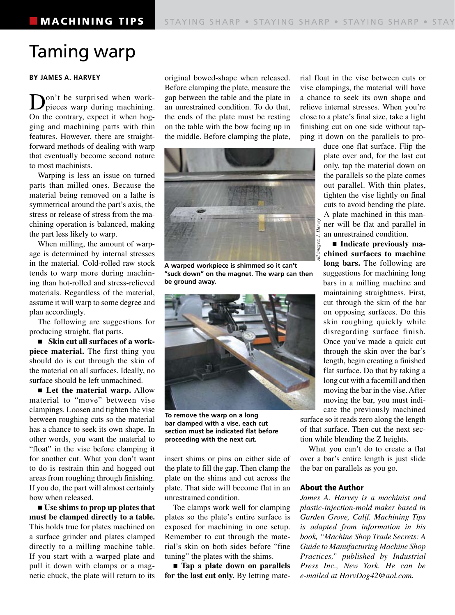## Taming warp

### **BY JAMES A. HARVEY**

Don't be surprised when work-pieces warp during machining. On the contrary, expect it when hogging and machining parts with thin features. However, there are straightforward methods of dealing with warp that eventually become second nature to most machinists.

Warping is less an issue on turned parts than milled ones. Because the material being removed on a lathe is symmetrical around the part's axis, the stress or release of stress from the machining operation is balanced, making the part less likely to warp.

When milling, the amount of warpage is determined by internal stresses in the material. Cold-rolled raw stock tends to warp more during machining than hot-rolled and stress-relieved materials. Regardless of the material, assume it will warp to some degree and plan accordingly.

The following are suggestions for producing straight, flat parts.

■ Skin cut all surfaces of a work**piece material.** The first thing you should do is cut through the skin of the material on all surfaces. Ideally, no surface should be left unmachined.

■ Let the material warp. Allow material to "move" between vise clampings. Loosen and tighten the vise between roughing cuts so the material has a chance to seek its own shape. In other words, you want the material to "float" in the vise before clamping it for another cut. What you don't want to do is restrain thin and hogged out areas from roughing through finishing. If you do, the part will almost certainly bow when released.

n **Use shims to prop up plates that must be clamped directly to a table.**  This holds true for plates machined on a surface grinder and plates clamped directly to a milling machine table. If you start with a warped plate and pull it down with clamps or a magnetic chuck, the plate will return to its

original bowed-shape when released. Before clamping the plate, measure the gap between the table and the plate in an unrestrained condition. To do that, the ends of the plate must be resting on the table with the bow facing up in the middle. Before clamping the plate,



**A warped workpiece is shimmed so it can't "suck down" on the magnet. The warp can then be ground away.**



**To remove the warp on a long bar clamped with a vise, each cut section must be indicated flat before proceeding with the next cut.**

insert shims or pins on either side of the plate to fill the gap. Then clamp the plate on the shims and cut across the plate. That side will become flat in an unrestrained condition.

Toe clamps work well for clamping plates so the plate's entire surface is exposed for machining in one setup. Remember to cut through the material's skin on both sides before "fine tuning" the plates with the shims.

■ **Tap a plate down on parallels for the last cut only.** By letting material float in the vise between cuts or vise clampings, the material will have a chance to seek its own shape and relieve internal stresses. When you're close to a plate's final size, take a light finishing cut on one side without tapping it down on the parallels to pro-

> duce one flat surface. Flip the plate over and, for the last cut only, tap the material down on the parallels so the plate comes out parallel. With thin plates, tighten the vise lightly on final cuts to avoid bending the plate. A plate machined in this manner will be flat and parallel in an unrestrained condition.

> $\blacksquare$  Indicate previously ma**chined surfaces to machine long bars.** The following are suggestions for machining long bars in a milling machine and maintaining straightness. First, cut through the skin of the bar on opposing surfaces. Do this skin roughing quickly while disregarding surface finish. Once you've made a quick cut through the skin over the bar's length, begin creating a finished flat surface. Do that by taking a long cut with a facemill and then moving the bar in the vise. After moving the bar, you must indicate the previously machined

surface so it reads zero along the length of that surface. Then cut the next section while blending the Z heights.

What you can't do to create a flat over a bar's entire length is just slide the bar on parallels as you go.

### About the Author

*James A. Harvey is a machinist and plastic-injection-mold maker based in Garden Grove, Calif. Machining Tips is adapted from information in his book, "Machine Shop Trade Secrets: A Guide to Manufacturing Machine Shop Practices," published by Industrial Press Inc., New York. He can be e-mailed at HarvDog42@aol.com.*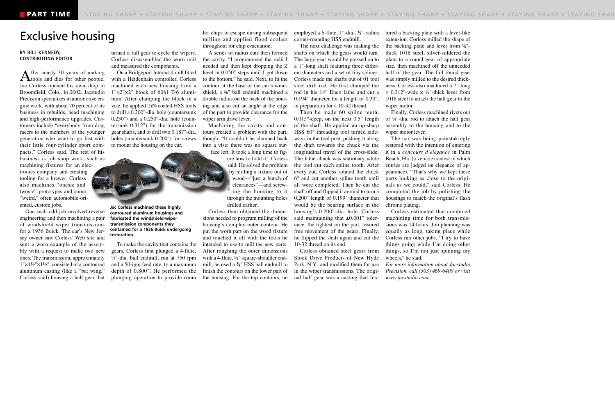### Exclusive housing

### **BY BILL KENNEDY, CONTRIBUTING EDITOR**

After nearly 30 years of making<br>tools and dies for other people, Jac Corless opened his own shop in Broomfield, Colo., in 2002. Jacstudio Precision specializes in automotive engine work, with about 70 percent of its business in rebuilds, head machining and high-performance upgrades. Customers include "everybody from drag racers to the members of the younger generation who want to go fast with their little four-cylinder sport compacts," Corless said. The rest of his business is job shop work, such as machining fixtures for an electronics company and creating tooling for a brewer. Corless also machines "onesie and twosie" prototypes and some "weird," often automobile-oriented, custom jobs.

One such odd job involved reverse engineering and then machining a pair of windshield-wiper transmissions for a 1936 Buick. The car's New Jersey owner saw Corless' Web site and sent a worn example of the assembly with a request to make two new ones. The transmission, approximately 1"×1½"×1½", consisted of a contoured aluminum casting (like a "bat wing," Corless said) housing a half gear that

turned a full gear to cycle the wipers. Corless disassembled the worn unit and measured the components.

On a Bridgeport Interact 4 mill fitted with a Heidenhain controller, Corless machined each new housing from a  $1" \times 2" \times 2"$  block of 6061 T-6 aluminum. After clamping the block in a vise, he applied TiN-coated HSS tools to drill a 0.200"-dia. hole (countersunk 0.250") and a 0.250"-dia. hole (countersunk 0.312") for the transmission gear shafts, and to drill two 0.187"-dia. holes (countersunk 0.200") for screws to mount the housing on the car.



**Jac Corless machined these highly contoured aluminum housings and fabricated the windshield-wiper transmission components they contained for a 1936 Buick undergoing restoration.**

To make the cavity that contains the gears, Corless first plunged a 4-flute, ¼"-dia. ball endmill, run at 750 rpm and a 50-ipm feed rate, to a maximum depth of 0.800". He performed the plunging operation to provide room

for chips to escape during subsequent milling and applied flood coolant throughout for chip evacuation.

A series of radius cuts then formed the cavity. "I programmed the radii I needed and then kept dropping the Z level in 0.050" steps until I got down to the bottom," he said. Next, to fit the contour at the base of the car's windshield, a **3⁄8**" ball endmill machined a double radius on the back of the housing and also cut an angle at the edge of the part to provide clearance for the wiper arm drive lever.

Machining the cavity and contours created a problem with the part, though. "It couldn't be clamped back into a vise; there was no square surface left. It took a long time to figure how to hold it," Corless

said. He solved the problem by milling a fixture out of wood—"just a bunch of clearances"—and screwing the housing to it through the mounting holes drilled earlier.

Corless then obtained the dimensions needed to program milling of the housing's complex outer contour. He put the worn part on the wood fixture and touched it off with the tools he intended to use to mill the new parts. After roughing the outer dimensions with a 4-flute, ½" square-shoulder endmill, he used a **3⁄8**" HSS ball endmill to finish the contours on the lower part of the housing. For the top contours, he employed a 6-flute, 1"-dia., **3⁄8**"-radius corner-rounding HSS endmill.

The next challenge was making the shafts on which the gears would turn. The large gear would be pressed on to a 1"-long shaft featuring three different diameters and a set of tiny splines. Corless made the shafts out of 01 tool steel drill rod. He first clamped the rod in his 14" Enco lathe and cut a 0.194" diameter for a length of 0.30", in preparation for a 10-32 thread.

Then he made 60 spline teeth, 0.015"-deep, on the next 0.5" length of the shaft. He applied an up-sharp HSS 60° threading tool turned sideways in the tool post, pushing it along the shaft towards the chuck via the longitudinal travel of the cross-slide. The lathe chuck was stationary while the tool cut each spline tooth. After every cut, Corless rotated the chuck 6° and cut another spline tooth until all were completed. Then he cut the shaft off and flipped it around to turn a 0.200" length of 0.199" diameter that would be the bearing surface in the housing's 0.200"-dia. hole. Corless said maintaining that  $\pm 0.001$ " tolerance, the tightest on the part, assured free movement of the gears. Finally, he flipped the shaft again and cut the 10-32 thread on its end.

Corless obtained steel gears from Stock Drive Products of New Hyde Park, N.Y., and modified them for use in the wiper transmissions. The original half gear was a casting that featured a backing plate with a lever-like extension. Corless milled the shape of the backing plate and lever from **1⁄8**" thick 1018 steel, silver-soldered the plate to a round gear of appropriate size, then machined off the unneeded half of the gear. The full round gear was simply milled to the desired thickness. Corless also machined a 7"-long  $\times$  0.312"-wide  $\times$  <sup>1</sup>/<sub>8</sub>"-thick lever from 1018 steel to attach the half gear to the wiper motor.

Finally, Corless machined rivets out of ¼"-dia. rod to attach the half gear assembly to the housing and to the wiper motor lever.

The car was being painstakingly restored with the intention of entering it in a *concours d'elegance* in Palm Beach, Fla. (a vehicle contest in which entries are judged on elegance of appearance). "That's why we kept these parts looking as close to the originals as we could," said Corless. He completed the job by polishing the housings to match the original's flash chrome plating.

Corless estimated that combined machining time for both transmissions was 14 hours. Job planning was equally as long, taking place while Corless ran other jobs. "I try to have things going while I'm doing other things, so I'm not just spinning my wheels," he said.

*For more information about Jacstudio Precision, call (303) 469-6400 or visit www.jacstudio.com.*